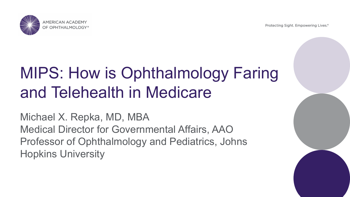Protecting Sight, Empowering Lives.<sup>®</sup>



# MIPS: How is Ophthalmology Faring and Telehealth in Medicare

Michael X. Repka, MD, MBA Medical Director for Governmental Affairs, AAO Professor of Ophthalmology and Pediatrics, Johns Hopkins University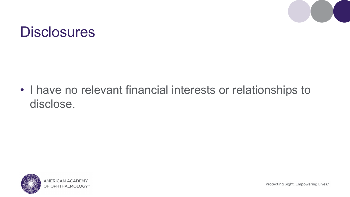

#### **Disclosures**

• I have no relevant financial interests or relationships to disclose.

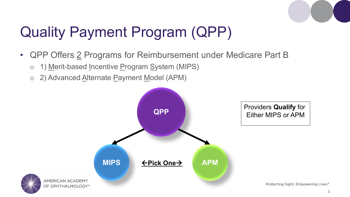

# Quality Payment Program (QPP)

- QPP Offers 2 Programs for Reimbursement under Medicare Part B
	- o 1) Merit-based Incentive Program System (MIPS)
	- o 2) Advanced Alternate Payment Model (APM)

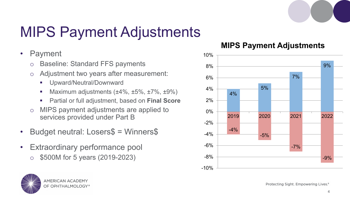

# MIPS Payment Adjustments

- Payment
	- o Baseline: Standard FFS payments
	- o Adjustment two years after measurement:
		- **Upward/Neutral/Downward**
		- Maximum adjustments  $(\pm 4\%, \pm 5\%, \pm 7\%, \pm 9\%)$
		- Partial or full adjustment, based on **Final Score**
	- o MIPS payment adjustments are applied to services provided under Part B
- Budget neutral: Losers\$ = Winners\$
- Extraordinary performance pool o \$500M for 5 years (2019-2023)

#### **MIPS Payment Adjustments**





Protecting Sight. Empowering Lives.®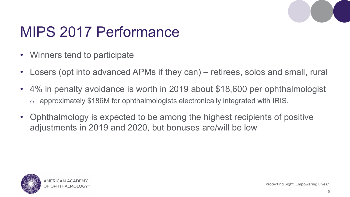### MIPS 2017 Performance

- Winners tend to participate
- Losers (opt into advanced APMs if they can) retirees, solos and small, rural
- 4% in penalty avoidance is worth in 2019 about \$18,600 per ophthalmologist o approximately \$186M for ophthalmologists electronically integrated with IRIS.
- Ophthalmology is expected to be among the highest recipients of positive adjustments in 2019 and 2020, but bonuses are/will be low

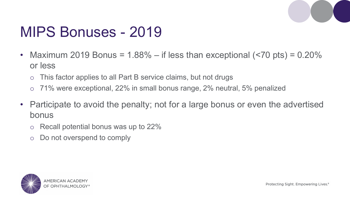## MIPS Bonuses - 2019

- Maximum 2019 Bonus =  $1.88\%$  if less than exceptional (<70 pts) =  $0.20\%$ or less
	- o This factor applies to all Part B service claims, but not drugs
	- o 71% were exceptional, 22% in small bonus range, 2% neutral, 5% penalized
- Participate to avoid the penalty; not for a large bonus or even the advertised bonus
	- o Recall potential bonus was up to 22%
	- o Do not overspend to comply

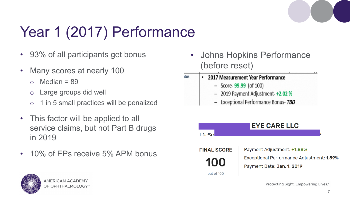# Year 1 (2017) Performance

- 93% of all participants get bonus
- Many scores at nearly 100
	- $\circ$  Median = 89
	- o Large groups did well
	- o 1 in 5 small practices will be penalized
- This factor will be applied to all service claims, but not Part B drugs in 2019
- 10% of EPs receive 5% APM bonus
- Johns Hopkins Performance (before reset)
	- 2017 Measurement Year Performance

atus

- $-$  Score-99.99 (of 100)
- 2019 Payment Adjustment- +2.02 %
- Exceptional Performance Bonus-TBD



Protecting Sight. Empowering Lives.®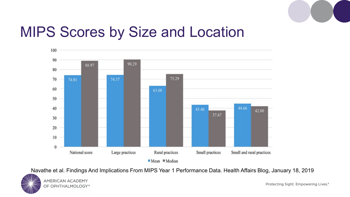

#### MIPS Scores by Size and Location



Navathe et al. Findings And Implications From MIPS Year 1 Performance Data. Health Affairs Blog, January 18, 2019



**AMERICAN ACADEMY** OF OPHTHALMOLOGY®

Protecting Sight. Empowering Lives.®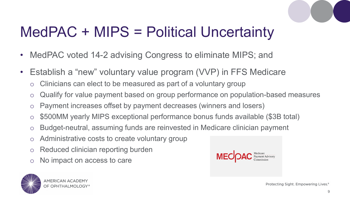

## MedPAC + MIPS = Political Uncertainty

- MedPAC voted 14-2 advising Congress to eliminate MIPS; and
- Establish a "new" voluntary value program (VVP) in FFS Medicare
	- o Clinicians can elect to be measured as part of a voluntary group
	- o Qualify for value payment based on group performance on population-based measures
	- o Payment increases offset by payment decreases (winners and losers)
	- o \$500MM yearly MIPS exceptional performance bonus funds available (\$3B total)
	- o Budget-neutral, assuming funds are reinvested in Medicare clinician payment
	- o Administrative costs to create voluntary group
	- o Reduced clinician reporting burden
	- o No impact on access to care



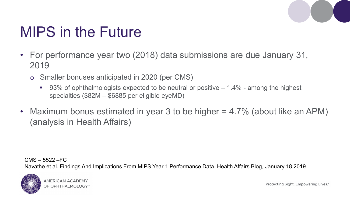

#### MIPS in the Future

- For performance year two (2018) data submissions are due January 31, 2019
	- o Smaller bonuses anticipated in 2020 (per CMS)
		- 93% of ophthalmologists expected to be neutral or positive 1.4% among the highest specialties (\$82M – \$6885 per eligible eyeMD)
- Maximum bonus estimated in year 3 to be higher = 4.7% (about like an APM) (analysis in Health Affairs)

CMS – 5522 –FC Navathe et al. Findings And Implications From MIPS Year 1 Performance Data. Health Affairs Blog, January 18,2019



MERICAN ACADEM`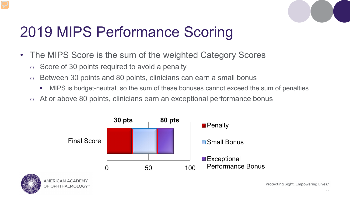

## 2019 MIPS Performance Scoring

- The MIPS Score is the sum of the weighted Category Scores
	- o Score of 30 points required to avoid a penalty
	- o Between 30 points and 80 points, clinicians can earn a small bonus
		- **MIPS** is budget-neutral, so the sum of these bonuses cannot exceed the sum of penalties
	- o At or above 80 points, clinicians earn an exceptional performance bonus



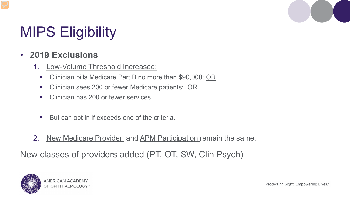

# MIPS Eligibility

#### • **2019 Exclusions**

- 1. Low-Volume Threshold Increased:
	- Clinician bills Medicare Part B no more than \$90,000; OR
	- Clinician sees 200 or fewer Medicare patients; OR
	- Clinician has 200 or fewer services
	- But can opt in if exceeds one of the criteria.
- 2. New Medicare Provider and APM Participation remain the same.

New classes of providers added (PT, OT, SW, Clin Psych)

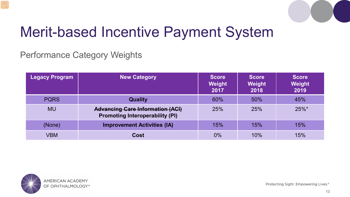

## Merit-based Incentive Payment System

#### Performance Category Weights

| <b>Legacy Program</b> | <b>New Category</b>                                                               | <b>Score</b><br>Weight<br>2017 | <b>Score</b><br>Weight<br>2018 | <b>Score</b><br>Weight<br>2019 |
|-----------------------|-----------------------------------------------------------------------------------|--------------------------------|--------------------------------|--------------------------------|
| <b>PQRS</b>           | <b>Quality</b>                                                                    | 60%                            | 50%                            | 45%                            |
| <b>MU</b>             | <b>Advancing Care Information (ACI)</b><br><b>Promoting Interoperability (PI)</b> | 25%                            | 25%                            | $25\%$ *                       |
| (None)                | <b>Improvement Activities (IA)</b>                                                | 15%                            | 15%                            | 15%                            |
| <b>VBM</b>            | <b>Cost</b>                                                                       | $0\%$                          | 10%                            | 15%                            |

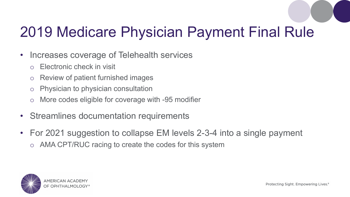### 2019 Medicare Physician Payment Final Rule

- Increases coverage of Telehealth services
	- o Electronic check in visit
	- o Review of patient furnished images
	- o Physician to physician consultation
	- o More codes eligible for coverage with -95 modifier
- Streamlines documentation requirements
- For 2021 suggestion to collapse EM levels 2-3-4 into a single payment
	- o AMA CPT/RUC racing to create the codes for this system

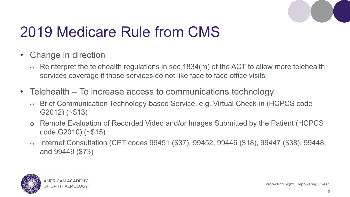

## 2019 Medicare Rule from CMS

- Change in direction
	- $\circ$  Reinterpret the telehealth regulations in sec 1834(m) of the ACT to allow more telehealth services coverage if those services do not like face to face office visits
- Telehealth To increase access to communications technology
	- o Brief Communication Technology-based Service, e.g. Virtual Check-in (HCPCS code G2012) (~\$13)
	- o Remote Evaluation of Recorded Video and/or Images Submitted by the Patient (HCPCS code G2010) (~\$15)
	- o Internet Consultation (CPT codes 99451 (\$37), 99452, 99446 (\$18), 99447 (\$38), 99448, and 99449 (\$73)

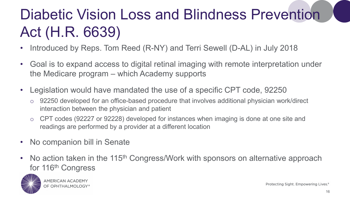# Diabetic Vision Loss and Blindness Prevention Act (H.R. 6639)

- Introduced by Reps. Tom Reed (R-NY) and Terri Sewell (D-AL) in July 2018
- Goal is to expand access to digital retinal imaging with remote interpretation under the Medicare program – which Academy supports
- Legislation would have mandated the use of a specific CPT code, 92250
	- o 92250 developed for an office-based procedure that involves additional physician work/direct interaction between the physician and patient
	- o CPT codes (92227 or 92228) developed for instances when imaging is done at one site and readings are performed by a provider at a different location
- No companion bill in Senate
- No action taken in the 115<sup>th</sup> Congress/Work with sponsors on alternative approach for 116<sup>th</sup> Congress

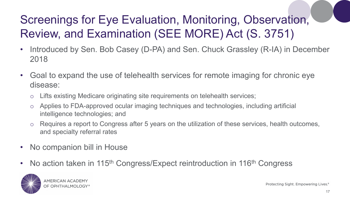#### Screenings for Eye Evaluation, Monitoring, Observation, Review, and Examination (SEE MORE) Act (S. 3751)

- Introduced by Sen. Bob Casey (D-PA) and Sen. Chuck Grassley (R-IA) in December 2018
- Goal to expand the use of telehealth services for remote imaging for chronic eye disease:
	- o Lifts existing Medicare originating site requirements on telehealth services;
	- o Applies to FDA-approved ocular imaging techniques and technologies, including artificial intelligence technologies; and
	- o Requires a report to Congress after 5 years on the utilization of these services, health outcomes, and specialty referral rates
- No companion bill in House
- No action taken in 115<sup>th</sup> Congress/Expect reintroduction in 116<sup>th</sup> Congress